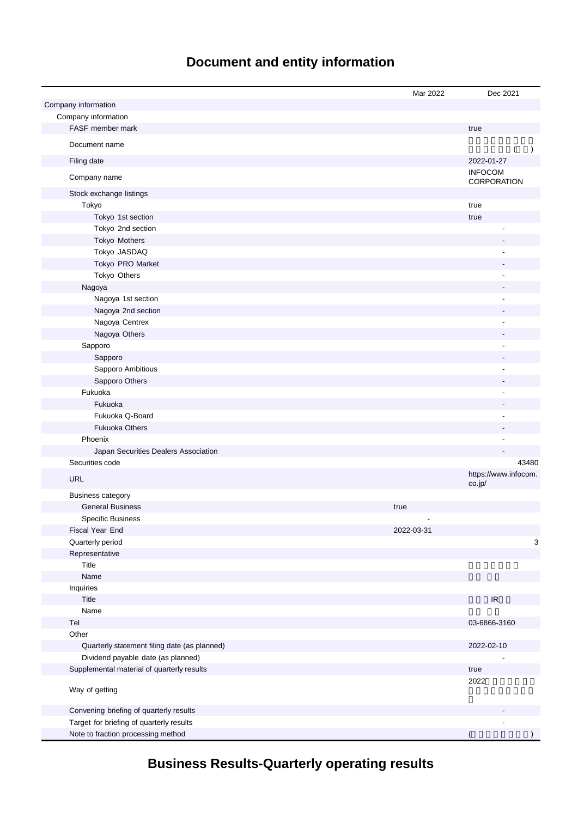# **Document and entity information**

|                                              | Mar 2022   | Dec 2021                          |
|----------------------------------------------|------------|-----------------------------------|
| Company information                          |            |                                   |
| Company information                          |            |                                   |
| FASF member mark                             |            | true                              |
| Document name                                |            | $\lambda$                         |
| Filing date                                  |            | 2022-01-27                        |
| Company name                                 |            | <b>INFOCOM</b><br>CORPORATION     |
| Stock exchange listings                      |            |                                   |
| Tokyo                                        |            | true                              |
| Tokyo 1st section                            |            | true                              |
| Tokyo 2nd section                            |            | L,                                |
| Tokyo Mothers                                |            |                                   |
| Tokyo JASDAQ                                 |            |                                   |
| Tokyo PRO Market                             |            |                                   |
| Tokyo Others                                 |            |                                   |
| Nagoya                                       |            |                                   |
| Nagoya 1st section                           |            |                                   |
| Nagoya 2nd section                           |            |                                   |
| Nagoya Centrex                               |            |                                   |
| Nagoya Others                                |            |                                   |
| Sapporo                                      |            |                                   |
| Sapporo                                      |            |                                   |
| Sapporo Ambitious                            |            |                                   |
| Sapporo Others                               |            |                                   |
| Fukuoka                                      |            |                                   |
| Fukuoka                                      |            |                                   |
| Fukuoka Q-Board                              |            |                                   |
| <b>Fukuoka Others</b>                        |            |                                   |
| Phoenix                                      |            |                                   |
| Japan Securities Dealers Association         |            |                                   |
| Securities code                              |            | 43480                             |
| <b>URL</b>                                   |            | https://www.infocom.<br>co.jp/    |
| <b>Business category</b>                     |            |                                   |
| <b>General Business</b>                      | true       |                                   |
| <b>Specific Business</b>                     |            |                                   |
| Fiscal Year End                              | 2022-03-31 |                                   |
| Quarterly period                             |            | 3                                 |
| Representative                               |            |                                   |
| Title                                        |            |                                   |
| Name                                         |            |                                   |
| Inquiries                                    |            |                                   |
| Title                                        |            | $\ensuremath{\mathsf{IR}}\xspace$ |
| Name                                         |            |                                   |
| Tel                                          |            | 03-6866-3160                      |
| Other                                        |            |                                   |
| Quarterly statement filing date (as planned) |            | 2022-02-10                        |
| Dividend payable date (as planned)           |            |                                   |
| Supplemental material of quarterly results   |            | true                              |
| Way of getting                               |            | 2022                              |
| Convening briefing of quarterly results      |            |                                   |
| Target for briefing of quarterly results     |            |                                   |
| Note to fraction processing method           |            |                                   |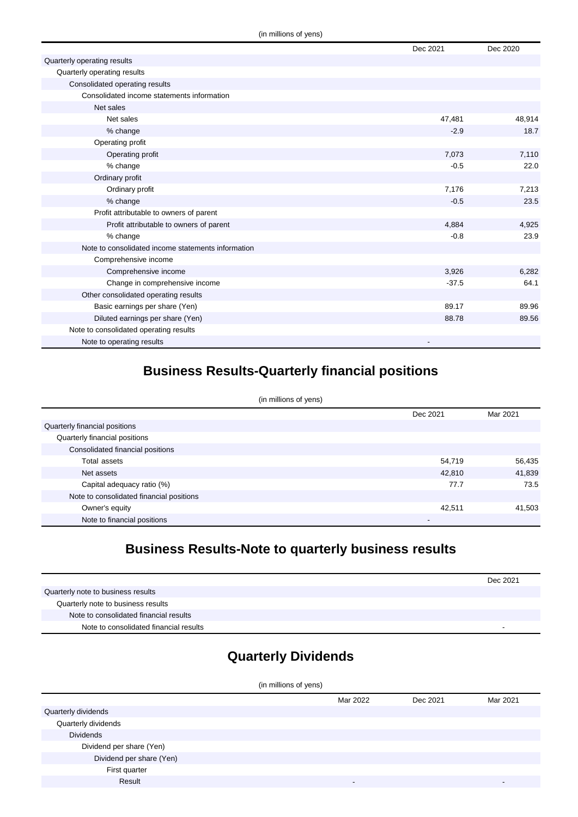|                                                    | Dec 2021 | Dec 2020 |
|----------------------------------------------------|----------|----------|
| Quarterly operating results                        |          |          |
| Quarterly operating results                        |          |          |
| Consolidated operating results                     |          |          |
| Consolidated income statements information         |          |          |
| Net sales                                          |          |          |
| Net sales                                          | 47,481   | 48,914   |
| % change                                           | $-2.9$   | 18.7     |
| Operating profit                                   |          |          |
| Operating profit                                   | 7,073    | 7,110    |
| % change                                           | $-0.5$   | 22.0     |
| Ordinary profit                                    |          |          |
| Ordinary profit                                    | 7,176    | 7,213    |
| % change                                           | $-0.5$   | 23.5     |
| Profit attributable to owners of parent            |          |          |
| Profit attributable to owners of parent            | 4,884    | 4,925    |
| % change                                           | $-0.8$   | 23.9     |
| Note to consolidated income statements information |          |          |
| Comprehensive income                               |          |          |
| Comprehensive income                               | 3,926    | 6,282    |
| Change in comprehensive income                     | $-37.5$  | 64.1     |
| Other consolidated operating results               |          |          |
| Basic earnings per share (Yen)                     | 89.17    | 89.96    |
| Diluted earnings per share (Yen)                   | 88.78    | 89.56    |
| Note to consolidated operating results             |          |          |
| Note to operating results                          |          |          |

### **Business Results-Quarterly financial positions**

| (in millions of yens)                    |          |          |  |
|------------------------------------------|----------|----------|--|
|                                          | Dec 2021 | Mar 2021 |  |
| Quarterly financial positions            |          |          |  |
| Quarterly financial positions            |          |          |  |
| Consolidated financial positions         |          |          |  |
| Total assets                             | 54,719   | 56,435   |  |
| Net assets                               | 42,810   | 41,839   |  |
| Capital adequacy ratio (%)               | 77.7     | 73.5     |  |
| Note to consolidated financial positions |          |          |  |
| Owner's equity                           | 42,511   | 41,503   |  |
| Note to financial positions              |          |          |  |

### **Business Results-Note to quarterly business results**

|                                        | Dec 2021 |
|----------------------------------------|----------|
| Quarterly note to business results     |          |
| Quarterly note to business results     |          |
| Note to consolidated financial results |          |
| Note to consolidated financial results | -        |

# **Quarterly Dividends**

| (in millions of yens)    |          |          |          |
|--------------------------|----------|----------|----------|
|                          | Mar 2022 | Dec 2021 | Mar 2021 |
| Quarterly dividends      |          |          |          |
| Quarterly dividends      |          |          |          |
| <b>Dividends</b>         |          |          |          |
| Dividend per share (Yen) |          |          |          |
| Dividend per share (Yen) |          |          |          |
| First quarter            |          |          |          |
| Result                   | -        |          |          |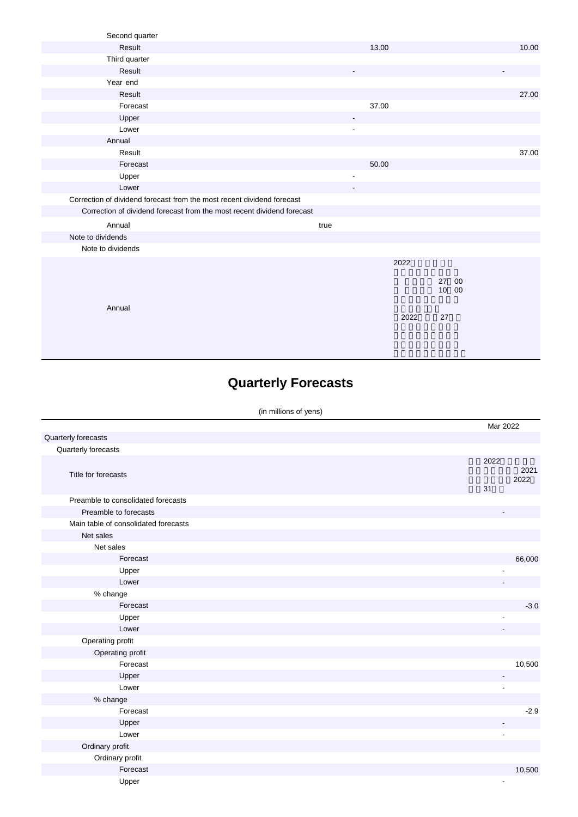| Second quarter                                                         |                              |       |    |             |       |
|------------------------------------------------------------------------|------------------------------|-------|----|-------------|-------|
| Result                                                                 |                              | 13.00 |    |             | 10.00 |
| Third quarter                                                          |                              |       |    |             |       |
| Result                                                                 | -                            |       |    |             |       |
| Year end                                                               |                              |       |    |             |       |
| Result                                                                 |                              |       |    |             | 27.00 |
| Forecast                                                               |                              | 37.00 |    |             |       |
| Upper                                                                  | $\qquad \qquad \blacksquare$ |       |    |             |       |
| Lower                                                                  | $\overline{\phantom{a}}$     |       |    |             |       |
| Annual                                                                 |                              |       |    |             |       |
| Result                                                                 |                              |       |    |             | 37.00 |
| Forecast                                                               |                              | 50.00 |    |             |       |
| Upper                                                                  | $\overline{\phantom{a}}$     |       |    |             |       |
| Lower                                                                  |                              |       |    |             |       |
| Correction of dividend forecast from the most recent dividend forecast |                              |       |    |             |       |
| Correction of dividend forecast from the most recent dividend forecast |                              |       |    |             |       |
| Annual                                                                 | true                         |       |    |             |       |
| Note to dividends                                                      |                              |       |    |             |       |
| Note to dividends                                                      |                              |       |    |             |       |
|                                                                        |                              | 2022  |    |             |       |
|                                                                        |                              |       |    |             |       |
|                                                                        |                              |       | 27 | 00<br>10 00 |       |
|                                                                        |                              |       |    |             |       |
| Annual                                                                 |                              |       |    |             |       |
|                                                                        |                              | 2022  | 27 |             |       |
|                                                                        |                              |       |    |             |       |
|                                                                        |                              |       |    |             |       |

# **Quarterly Forecasts**

|                                      | Mar 2022   |              |
|--------------------------------------|------------|--------------|
| Quarterly forecasts                  |            |              |
| Quarterly forecasts                  |            |              |
| Title for forecasts                  | 2022<br>31 | 2021<br>2022 |
| Preamble to consolidated forecasts   |            |              |
| Preamble to forecasts                |            |              |
| Main table of consolidated forecasts |            |              |
| Net sales                            |            |              |
| Net sales                            |            |              |
| Forecast                             |            | 66,000       |
| Upper                                |            |              |
| Lower                                |            |              |
| $%$ change                           |            |              |
| Forecast                             |            | $-3.0$       |
| Upper                                |            |              |
| Lower                                |            |              |
| Operating profit                     |            |              |
| Operating profit                     |            |              |
| Forecast                             |            | 10,500       |
| Upper                                |            |              |
| Lower                                |            |              |
| % change                             |            |              |
| Forecast                             |            | $-2.9$       |
| Upper                                |            |              |
| Lower                                | ÷,         |              |
| Ordinary profit                      |            |              |
| Ordinary profit                      |            |              |
| Forecast                             |            | 10,500       |
| Upper                                |            |              |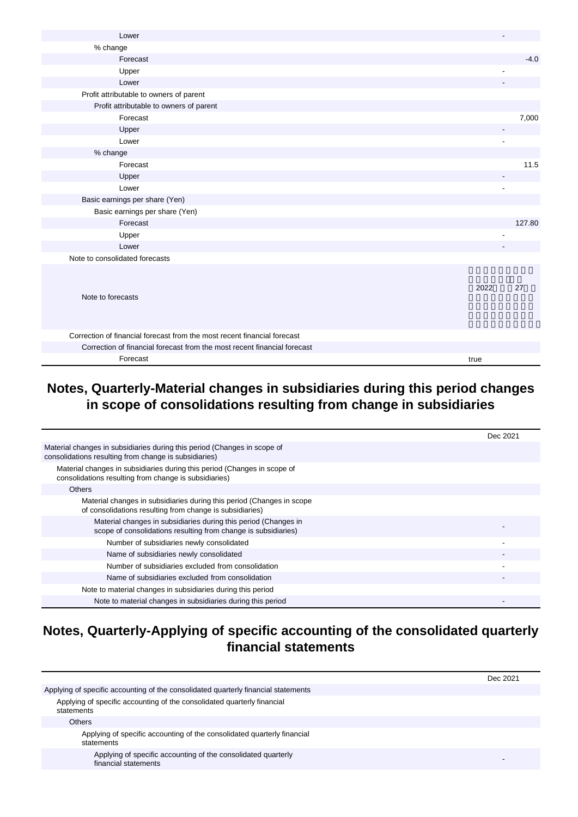| Lower                                                                    |      |        |
|--------------------------------------------------------------------------|------|--------|
| % change                                                                 |      |        |
| Forecast                                                                 |      | $-4.0$ |
| Upper                                                                    |      |        |
| Lower                                                                    |      |        |
| Profit attributable to owners of parent                                  |      |        |
| Profit attributable to owners of parent                                  |      |        |
| Forecast                                                                 |      | 7,000  |
| Upper                                                                    |      |        |
| Lower                                                                    |      |        |
| % change                                                                 |      |        |
| Forecast                                                                 |      | 11.5   |
| Upper                                                                    |      |        |
| Lower                                                                    |      |        |
| Basic earnings per share (Yen)                                           |      |        |
| Basic earnings per share (Yen)                                           |      |        |
| Forecast                                                                 |      | 127.80 |
| Upper                                                                    |      |        |
| Lower                                                                    |      |        |
| Note to consolidated forecasts                                           |      |        |
| Note to forecasts                                                        | 2022 | 27     |
| Correction of financial forecast from the most recent financial forecast |      |        |
| Correction of financial forecast from the most recent financial forecast |      |        |
| Forecast                                                                 | true |        |

#### **Notes, Quarterly-Material changes in subsidiaries during this period changes in scope of consolidations resulting from change in subsidiaries**

|                                                                                                                                   | Dec 2021 |
|-----------------------------------------------------------------------------------------------------------------------------------|----------|
| Material changes in subsidiaries during this period (Changes in scope of<br>consolidations resulting from change is subsidiaries) |          |
| Material changes in subsidiaries during this period (Changes in scope of<br>consolidations resulting from change is subsidiaries) |          |
| <b>Others</b>                                                                                                                     |          |
| Material changes in subsidiaries during this period (Changes in scope<br>of consolidations resulting from change is subsidiaries) |          |
| Material changes in subsidiaries during this period (Changes in<br>scope of consolidations resulting from change is subsidiaries) |          |
| Number of subsidiaries newly consolidated                                                                                         |          |
| Name of subsidiaries newly consolidated                                                                                           |          |
| Number of subsidiaries excluded from consolidation                                                                                |          |
| Name of subsidiaries excluded from consolidation                                                                                  |          |
| Note to material changes in subsidiaries during this period                                                                       |          |
| Note to material changes in subsidiaries during this period                                                                       |          |

### **Notes, Quarterly-Applying of specific accounting of the consolidated quarterly financial statements**

|                                                                                       | Dec 2021 |
|---------------------------------------------------------------------------------------|----------|
| Applying of specific accounting of the consolidated quarterly financial statements    |          |
| Applying of specific accounting of the consolidated quarterly financial<br>statements |          |
| <b>Others</b>                                                                         |          |
| Applying of specific accounting of the consolidated quarterly financial<br>statements |          |
| Applying of specific accounting of the consolidated quarterly<br>financial statements |          |